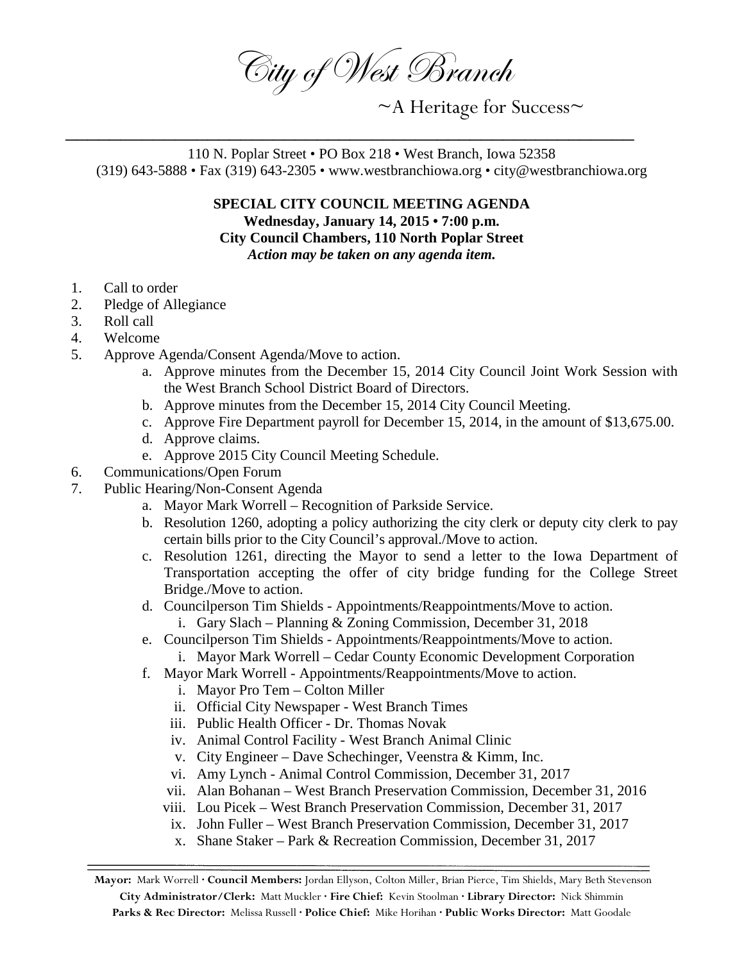City of West Branch

~A Heritage for Success~

110 N. Poplar Street • PO Box 218 • West Branch, Iowa 52358 (319) 643-5888 • Fax (319) 643-2305 • www.westbranchiowa.org • city@westbranchiowa.org

\_\_\_\_\_\_\_\_\_\_\_\_\_\_\_\_\_\_\_\_\_\_\_\_\_\_\_\_\_\_\_\_\_\_\_\_\_\_\_\_\_\_\_\_\_\_\_\_\_\_\_\_

**SPECIAL CITY COUNCIL MEETING AGENDA Wednesday, January 14, 2015 • 7:00 p.m. City Council Chambers, 110 North Poplar Street** *Action may be taken on any agenda item.*

- 1. Call to order
- 2. Pledge of Allegiance
- 3. Roll call
- 4. Welcome
- 5. Approve Agenda/Consent Agenda/Move to action.
	- a. Approve minutes from the December 15, 2014 City Council Joint Work Session with the West Branch School District Board of Directors.
	- b. Approve minutes from the December 15, 2014 City Council Meeting.
	- c. Approve Fire Department payroll for December 15, 2014, in the amount of \$13,675.00.
	- d. Approve claims.
	- e. Approve 2015 City Council Meeting Schedule.
- 6. Communications/Open Forum
- 7. Public Hearing/Non-Consent Agenda
	- a. Mayor Mark Worrell Recognition of Parkside Service.
	- b. Resolution 1260, adopting a policy authorizing the city clerk or deputy city clerk to pay certain bills prior to the City Council's approval./Move to action.
	- c. Resolution 1261, directing the Mayor to send a letter to the Iowa Department of Transportation accepting the offer of city bridge funding for the College Street Bridge./Move to action.
	- d. Councilperson Tim Shields Appointments/Reappointments/Move to action.
		- i. Gary Slach Planning & Zoning Commission, December 31, 2018
	- e. Councilperson Tim Shields Appointments/Reappointments/Move to action. i. Mayor Mark Worrell – Cedar County Economic Development Corporation
	- f. Mayor Mark Worrell Appointments/Reappointments/Move to action.
		- i. Mayor Pro Tem Colton Miller
		- ii. Official City Newspaper West Branch Times
		- iii. Public Health Officer Dr. Thomas Novak
		- iv. Animal Control Facility West Branch Animal Clinic
		- v. City Engineer Dave Schechinger, Veenstra & Kimm, Inc.
		- vi. Amy Lynch Animal Control Commission, December 31, 2017
		- vii. Alan Bohanan West Branch Preservation Commission, December 31, 2016
		- viii. Lou Picek West Branch Preservation Commission, December 31, 2017
		- ix. John Fuller West Branch Preservation Commission, December 31, 2017
		- x. Shane Staker Park & Recreation Commission, December 31, 2017

**Mayor:** Mark Worrell **· Council Members:** Jordan Ellyson, Colton Miller, Brian Pierce, Tim Shields, Mary Beth Stevenson **City Administrator/Clerk:** Matt Muckler **· Fire Chief:** Kevin Stoolman **· Library Director:** Nick Shimmin **Parks & Rec Director:** Melissa Russell **· Police Chief:** Mike Horihan **· Public Works Director:** Matt Goodale